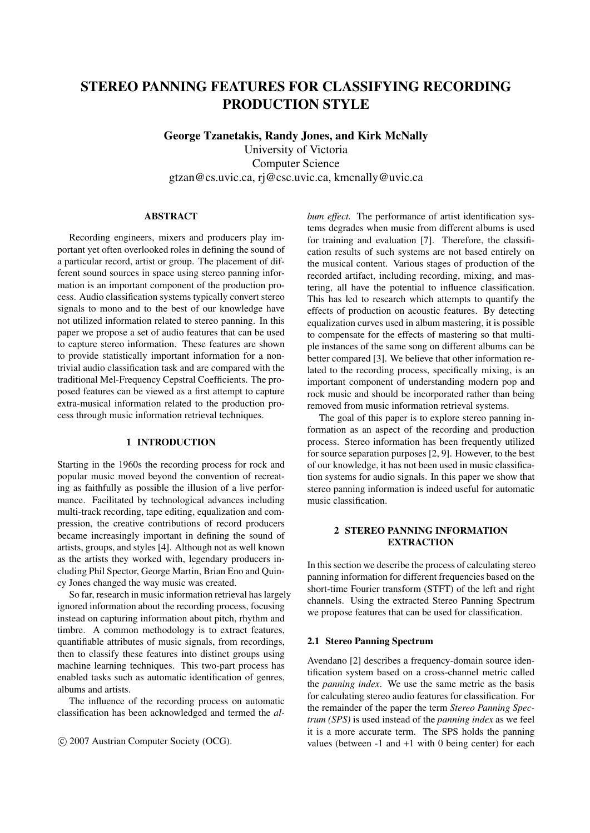# STEREO PANNING FEATURES FOR CLASSIFYING RECORDING PRODUCTION STYLE

George Tzanetakis, Randy Jones, and Kirk McNally University of Victoria Computer Science gtzan@cs.uvic.ca, rj@csc.uvic.ca, kmcnally@uvic.ca

### ABSTRACT

Recording engineers, mixers and producers play important yet often overlooked roles in defining the sound of a particular record, artist or group. The placement of different sound sources in space using stereo panning information is an important component of the production process. Audio classification systems typically convert stereo signals to mono and to the best of our knowledge have not utilized information related to stereo panning. In this paper we propose a set of audio features that can be used to capture stereo information. These features are shown to provide statistically important information for a nontrivial audio classification task and are compared with the traditional Mel-Frequency Cepstral Coefficients. The proposed features can be viewed as a first attempt to capture extra-musical information related to the production process through music information retrieval techniques.

# 1 INTRODUCTION

Starting in the 1960s the recording process for rock and popular music moved beyond the convention of recreating as faithfully as possible the illusion of a live performance. Facilitated by technological advances including multi-track recording, tape editing, equalization and compression, the creative contributions of record producers became increasingly important in defining the sound of artists, groups, and styles [4]. Although not as well known as the artists they worked with, legendary producers including Phil Spector, George Martin, Brian Eno and Quincy Jones changed the way music was created.

So far, research in music information retrieval has largely ignored information about the recording process, focusing instead on capturing information about pitch, rhythm and timbre. A common methodology is to extract features, quantifiable attributes of music signals, from recordings, then to classify these features into distinct groups using machine learning techniques. This two-part process has enabled tasks such as automatic identification of genres, albums and artists.

The influence of the recording process on automatic classification has been acknowledged and termed the *al-*

c 2007 Austrian Computer Society (OCG).

*bum effect.* The performance of artist identification systems degrades when music from different albums is used for training and evaluation [7]. Therefore, the classification results of such systems are not based entirely on the musical content. Various stages of production of the recorded artifact, including recording, mixing, and mastering, all have the potential to influence classification. This has led to research which attempts to quantify the effects of production on acoustic features. By detecting equalization curves used in album mastering, it is possible to compensate for the effects of mastering so that multiple instances of the same song on different albums can be better compared [3]. We believe that other information related to the recording process, specifically mixing, is an important component of understanding modern pop and rock music and should be incorporated rather than being removed from music information retrieval systems.

The goal of this paper is to explore stereo panning information as an aspect of the recording and production process. Stereo information has been frequently utilized for source separation purposes [2, 9]. However, to the best of our knowledge, it has not been used in music classification systems for audio signals. In this paper we show that stereo panning information is indeed useful for automatic music classification.

# 2 STEREO PANNING INFORMATION **EXTRACTION**

In this section we describe the process of calculating stereo panning information for different frequencies based on the short-time Fourier transform (STFT) of the left and right channels. Using the extracted Stereo Panning Spectrum we propose features that can be used for classification.

#### 2.1 Stereo Panning Spectrum

Avendano [2] describes a frequency-domain source identification system based on a cross-channel metric called the *panning index*. We use the same metric as the basis for calculating stereo audio features for classification. For the remainder of the paper the term *Stereo Panning Spectrum (SPS)* is used instead of the *panning index* as we feel it is a more accurate term. The SPS holds the panning values (between  $-1$  and  $+1$  with 0 being center) for each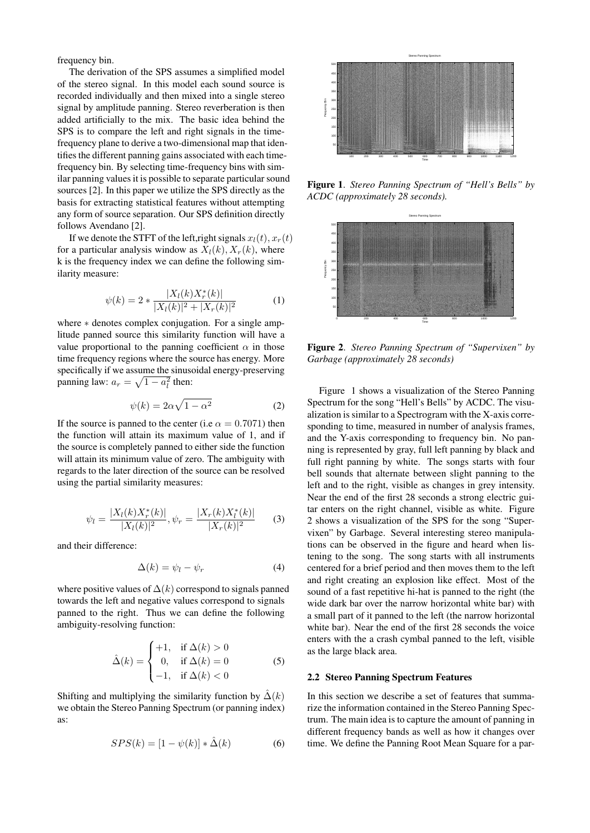frequency bin.

The derivation of the SPS assumes a simplified model of the stereo signal. In this model each sound source is recorded individually and then mixed into a single stereo signal by amplitude panning. Stereo reverberation is then added artificially to the mix. The basic idea behind the SPS is to compare the left and right signals in the timefrequency plane to derive a two-dimensional map that identifies the different panning gains associated with each timefrequency bin. By selecting time-frequency bins with similar panning values it is possible to separate particular sound sources [2]. In this paper we utilize the SPS directly as the basis for extracting statistical features without attempting any form of source separation. Our SPS definition directly follows Avendano [2].

If we denote the STFT of the left, right signals  $x_l(t)$ ,  $x_r(t)$ for a particular analysis window as  $X_l(k)$ ,  $X_r(k)$ , where k is the frequency index we can define the following similarity measure:

$$
\psi(k) = 2 * \frac{|X_l(k)X_r^*(k)|}{|X_l(k)|^2 + |X_r(k)|^2} \tag{1}
$$

where \* denotes complex conjugation. For a single amplitude panned source this similarity function will have a value proportional to the panning coefficient  $\alpha$  in those time frequency regions where the source has energy. More specifically if we assume the sinusoidal energy-preserving panning law:  $a_r = \sqrt{1 - a_l^2}$  then:

$$
\psi(k) = 2\alpha\sqrt{1 - \alpha^2} \tag{2}
$$

If the source is panned to the center (i.e  $\alpha = 0.7071$ ) then the function will attain its maximum value of 1, and if the source is completely panned to either side the function will attain its minimum value of zero. The ambiguity with regards to the later direction of the source can be resolved using the partial similarity measures:

$$
\psi_l = \frac{|X_l(k)X_r^*(k)|}{|X_l(k)|^2}, \psi_r = \frac{|X_r(k)X_l^*(k)|}{|X_r(k)|^2} \qquad (3)
$$

and their difference:

$$
\Delta(k) = \psi_l - \psi_r \tag{4}
$$

where positive values of  $\Delta(k)$  correspond to signals panned towards the left and negative values correspond to signals panned to the right. Thus we can define the following ambiguity-resolving function:

$$
\hat{\Delta}(k) = \begin{cases}\n+1, & \text{if } \Delta(k) > 0 \\
0, & \text{if } \Delta(k) = 0 \\
-1, & \text{if } \Delta(k) < 0\n\end{cases}
$$
\n(5)

Shifting and multiplying the similarity function by  $\hat{\Delta}(k)$ we obtain the Stereo Panning Spectrum (or panning index) as:

$$
SPS(k) = [1 - \psi(k)] * \hat{\Delta}(k)
$$
 (6)



Figure 1. *Stereo Panning Spectrum of "Hell's Bells" by ACDC (approximately 28 seconds).*



Figure 2. *Stereo Panning Spectrum of "Supervixen" by Garbage (approximately 28 seconds)*

Figure 1 shows a visualization of the Stereo Panning Spectrum for the song "Hell's Bells" by ACDC. The visualization is similar to a Spectrogram with the X-axis corresponding to time, measured in number of analysis frames, and the Y-axis corresponding to frequency bin. No panning is represented by gray, full left panning by black and full right panning by white. The songs starts with four bell sounds that alternate between slight panning to the left and to the right, visible as changes in grey intensity. Near the end of the first 28 seconds a strong electric guitar enters on the right channel, visible as white. Figure 2 shows a visualization of the SPS for the song "Supervixen" by Garbage. Several interesting stereo manipulations can be observed in the figure and heard when listening to the song. The song starts with all instruments centered for a brief period and then moves them to the left and right creating an explosion like effect. Most of the sound of a fast repetitive hi-hat is panned to the right (the wide dark bar over the narrow horizontal white bar) with a small part of it panned to the left (the narrow horizontal white bar). Near the end of the first 28 seconds the voice enters with the a crash cymbal panned to the left, visible as the large black area.

## 2.2 Stereo Panning Spectrum Features

In this section we describe a set of features that summarize the information contained in the Stereo Panning Spectrum. The main idea is to capture the amount of panning in different frequency bands as well as how it changes over time. We define the Panning Root Mean Square for a par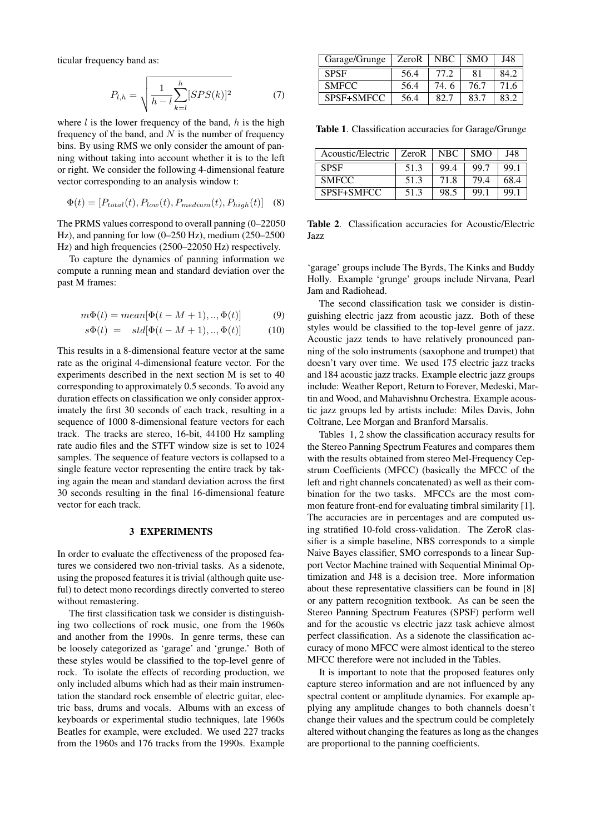ticular frequency band as:

$$
P_{l,h} = \sqrt{\frac{1}{h-l} \sum_{k=l}^{h} [SPS(k)]^2}
$$
 (7)

where  $l$  is the lower frequency of the band,  $h$  is the high frequency of the band, and  $N$  is the number of frequency bins. By using RMS we only consider the amount of panning without taking into account whether it is to the left or right. We consider the following 4-dimensional feature vector corresponding to an analysis window t:

$$
\Phi(t) = [P_{total}(t), P_{low}(t), P_{medium}(t), P_{high}(t)]
$$
 (8)

The PRMS values correspond to overall panning (0–22050 Hz), and panning for low (0–250 Hz), medium (250–2500 Hz) and high frequencies (2500–22050 Hz) respectively.

To capture the dynamics of panning information we compute a running mean and standard deviation over the past M frames:

$$
m\Phi(t) = mean[\Phi(t - M + 1), \dots, \Phi(t)]
$$
 (9)

$$
s\Phi(t) = std[\Phi(t - M + 1), \dots, \Phi(t)] \tag{10}
$$

This results in a 8-dimensional feature vector at the same rate as the original 4-dimensional feature vector. For the experiments described in the next section M is set to 40 corresponding to approximately 0.5 seconds. To avoid any duration effects on classification we only consider approximately the first 30 seconds of each track, resulting in a sequence of 1000 8-dimensional feature vectors for each track. The tracks are stereo, 16-bit, 44100 Hz sampling rate audio files and the STFT window size is set to 1024 samples. The sequence of feature vectors is collapsed to a single feature vector representing the entire track by taking again the mean and standard deviation across the first 30 seconds resulting in the final 16-dimensional feature vector for each track.

#### 3 EXPERIMENTS

In order to evaluate the effectiveness of the proposed features we considered two non-trivial tasks. As a sidenote, using the proposed features it is trivial (although quite useful) to detect mono recordings directly converted to stereo without remastering.

The first classification task we consider is distinguishing two collections of rock music, one from the 1960s and another from the 1990s. In genre terms, these can be loosely categorized as 'garage' and 'grunge.' Both of these styles would be classified to the top-level genre of rock. To isolate the effects of recording production, we only included albums which had as their main instrumentation the standard rock ensemble of electric guitar, electric bass, drums and vocals. Albums with an excess of keyboards or experimental studio techniques, late 1960s Beatles for example, were excluded. We used 227 tracks from the 1960s and 176 tracks from the 1990s. Example

| Garage/Grunge | ZeroR | NBC. | <b>SMO</b> | J48  |
|---------------|-------|------|------------|------|
| <b>SPSF</b>   | 56.4  | 77.2 | 81         | 84.2 |
| <b>SMFCC</b>  | 56.4  | 74.6 | 76.7       | 71.6 |
| SPSF+SMFCC    | 56.4  | 82.7 | 83.7       | 83.2 |

Table 1. Classification accuracies for Garage/Grunge

| Acoustic/Electric | ZeroR | NBC. | <b>SMO</b> | J48  |
|-------------------|-------|------|------------|------|
| <b>SPSF</b>       | 51.3  | 99.4 | -99.7      | 99.1 |
| <b>SMFCC</b>      | 51.3  | 71.8 | 794        | 68.4 |
| SPSF+SMFCC        | 51.3  | 98.5 | 99.        | 99.1 |

Table 2. Classification accuracies for Acoustic/Electric Jazz

'garage' groups include The Byrds, The Kinks and Buddy Holly. Example 'grunge' groups include Nirvana, Pearl Jam and Radiohead.

The second classification task we consider is distinguishing electric jazz from acoustic jazz. Both of these styles would be classified to the top-level genre of jazz. Acoustic jazz tends to have relatively pronounced panning of the solo instruments (saxophone and trumpet) that doesn't vary over time. We used 175 electric jazz tracks and 184 acoustic jazz tracks. Example electric jazz groups include: Weather Report, Return to Forever, Medeski, Martin and Wood, and Mahavishnu Orchestra. Example acoustic jazz groups led by artists include: Miles Davis, John Coltrane, Lee Morgan and Branford Marsalis.

Tables 1, 2 show the classification accuracy results for the Stereo Panning Spectrum Features and compares them with the results obtained from stereo Mel-Frequency Cepstrum Coefficients (MFCC) (basically the MFCC of the left and right channels concatenated) as well as their combination for the two tasks. MFCCs are the most common feature front-end for evaluating timbral similarity [1]. The accuracies are in percentages and are computed using stratified 10-fold cross-validation. The ZeroR classifier is a simple baseline, NBS corresponds to a simple Naive Bayes classifier, SMO corresponds to a linear Support Vector Machine trained with Sequential Minimal Optimization and J48 is a decision tree. More information about these representative classifiers can be found in [8] or any pattern recognition textbook. As can be seen the Stereo Panning Spectrum Features (SPSF) perform well and for the acoustic vs electric jazz task achieve almost perfect classification. As a sidenote the classification accuracy of mono MFCC were almost identical to the stereo MFCC therefore were not included in the Tables.

It is important to note that the proposed features only capture stereo information and are not influenced by any spectral content or amplitude dynamics. For example applying any amplitude changes to both channels doesn't change their values and the spectrum could be completely altered without changing the features as long as the changes are proportional to the panning coefficients.